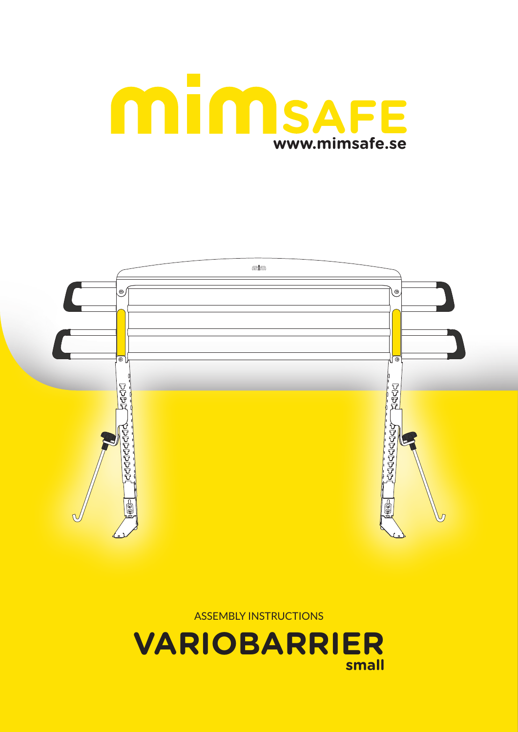



ASSEMBLY INSTRUCTIONS

**VARIOBARRIER small**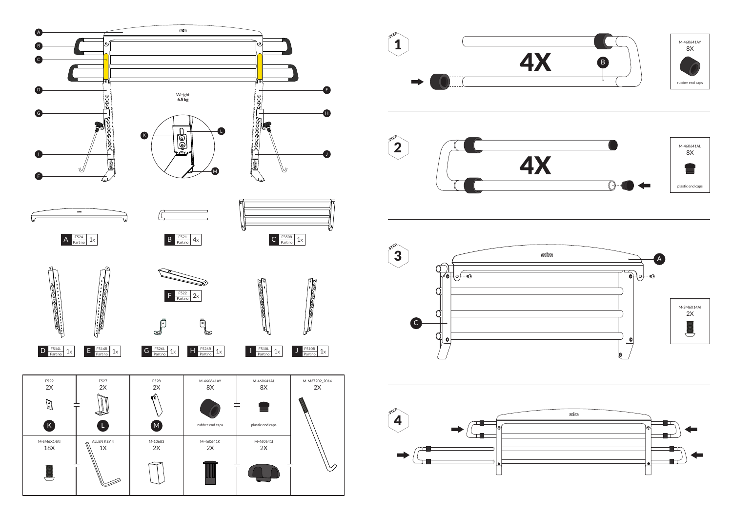



















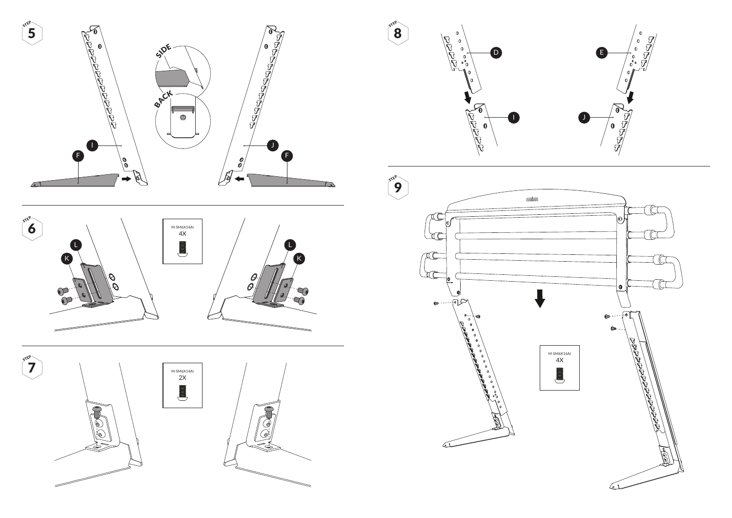





8 STEP







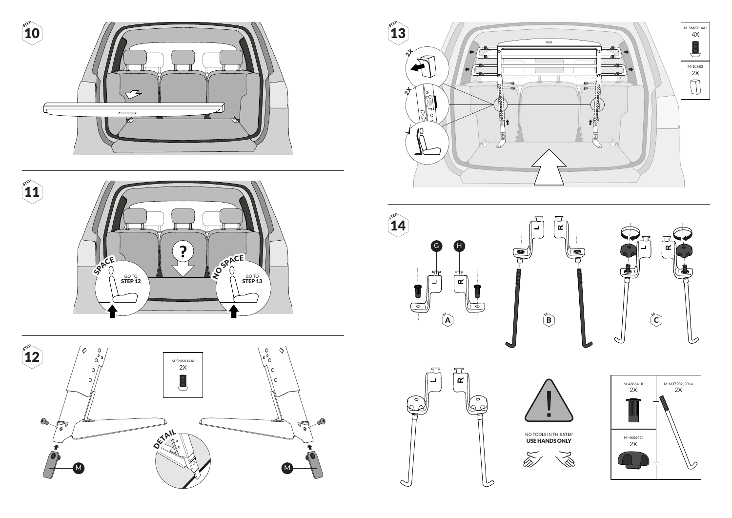

















NO TOOLS IN THIS STEP USE HANDS ONLY